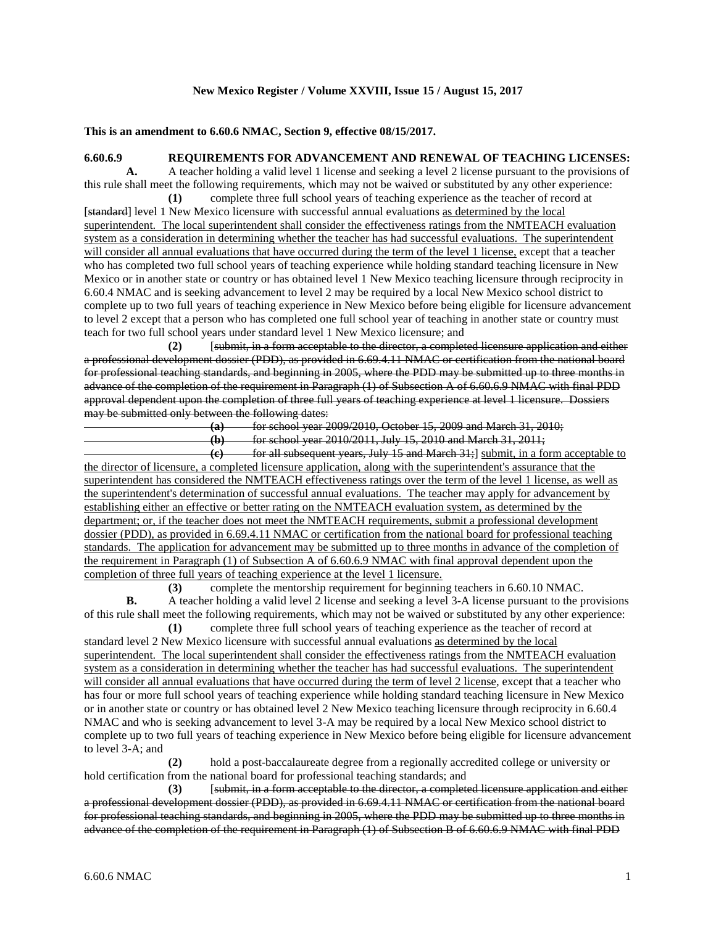## **New Mexico Register / Volume XXVIII, Issue 15 / August 15, 2017**

## **This is an amendment to 6.60.6 NMAC, Section 9, effective 08/15/2017.**

## **6.60.6.9 REQUIREMENTS FOR ADVANCEMENT AND RENEWAL OF TEACHING LICENSES:**

**A.** A teacher holding a valid level 1 license and seeking a level 2 license pursuant to the provisions of this rule shall meet the following requirements, which may not be waived or substituted by any other experience:

**(1)** complete three full school years of teaching experience as the teacher of record at [standard] level 1 New Mexico licensure with successful annual evaluations as determined by the local superintendent. The local superintendent shall consider the effectiveness ratings from the NMTEACH evaluation system as a consideration in determining whether the teacher has had successful evaluations. The superintendent will consider all annual evaluations that have occurred during the term of the level 1 license, except that a teacher who has completed two full school years of teaching experience while holding standard teaching licensure in New Mexico or in another state or country or has obtained level 1 New Mexico teaching licensure through reciprocity in 6.60.4 NMAC and is seeking advancement to level 2 may be required by a local New Mexico school district to complete up to two full years of teaching experience in New Mexico before being eligible for licensure advancement to level 2 except that a person who has completed one full school year of teaching in another state or country must teach for two full school years under standard level 1 New Mexico licensure; and

**(2)** [submit, in a form acceptable to the director, a completed licensure application and either a professional development dossier (PDD), as provided in 6.69.4.11 NMAC or certification from the national board for professional teaching standards, and beginning in 2005, where the PDD may be submitted up to three months in advance of the completion of the requirement in Paragraph (1) of Subsection A of 6.60.6.9 NMAC with final PDD approval dependent upon the completion of three full years of teaching experience at level 1 licensure. Dossiers may be submitted only between the following dates:

**(a)** for school year 2009/2010, October 15, 2009 and March 31, 2010;

**(b)** for school year 2010/2011, July 15, 2010 and March 31, 2011;

**(c)** for all subsequent years, July 15 and March 31;] submit, in a form acceptable to the director of licensure, a completed licensure application, along with the superintendent's assurance that the superintendent has considered the NMTEACH effectiveness ratings over the term of the level 1 license, as well as the superintendent's determination of successful annual evaluations. The teacher may apply for advancement by establishing either an effective or better rating on the NMTEACH evaluation system, as determined by the department; or, if the teacher does not meet the NMTEACH requirements, submit a professional development dossier (PDD), as provided in 6.69.4.11 NMAC or certification from the national board for professional teaching standards. The application for advancement may be submitted up to three months in advance of the completion of the requirement in Paragraph (1) of Subsection A of 6.60.6.9 NMAC with final approval dependent upon the completion of three full years of teaching experience at the level 1 licensure.

**(3)** complete the mentorship requirement for beginning teachers in 6.60.10 NMAC. **B.** A teacher holding a valid level 2 license and seeking a level 3-A license pursuant to the provisions of this rule shall meet the following requirements, which may not be waived or substituted by any other experience:

**(1)** complete three full school years of teaching experience as the teacher of record at standard level 2 New Mexico licensure with successful annual evaluations as determined by the local superintendent. The local superintendent shall consider the effectiveness ratings from the NMTEACH evaluation system as a consideration in determining whether the teacher has had successful evaluations. The superintendent will consider all annual evaluations that have occurred during the term of level 2 license, except that a teacher who has four or more full school years of teaching experience while holding standard teaching licensure in New Mexico or in another state or country or has obtained level 2 New Mexico teaching licensure through reciprocity in 6.60.4 NMAC and who is seeking advancement to level 3-A may be required by a local New Mexico school district to complete up to two full years of teaching experience in New Mexico before being eligible for licensure advancement to level 3-A; and

**(2)** hold a post-baccalaureate degree from a regionally accredited college or university or hold certification from the national board for professional teaching standards; and

**(3)** [submit, in a form acceptable to the director, a completed licensure application and either a professional development dossier (PDD), as provided in 6.69.4.11 NMAC or certification from the national board for professional teaching standards, and beginning in 2005, where the PDD may be submitted up to three months in advance of the completion of the requirement in Paragraph (1) of Subsection B of 6.60.6.9 NMAC with final PDD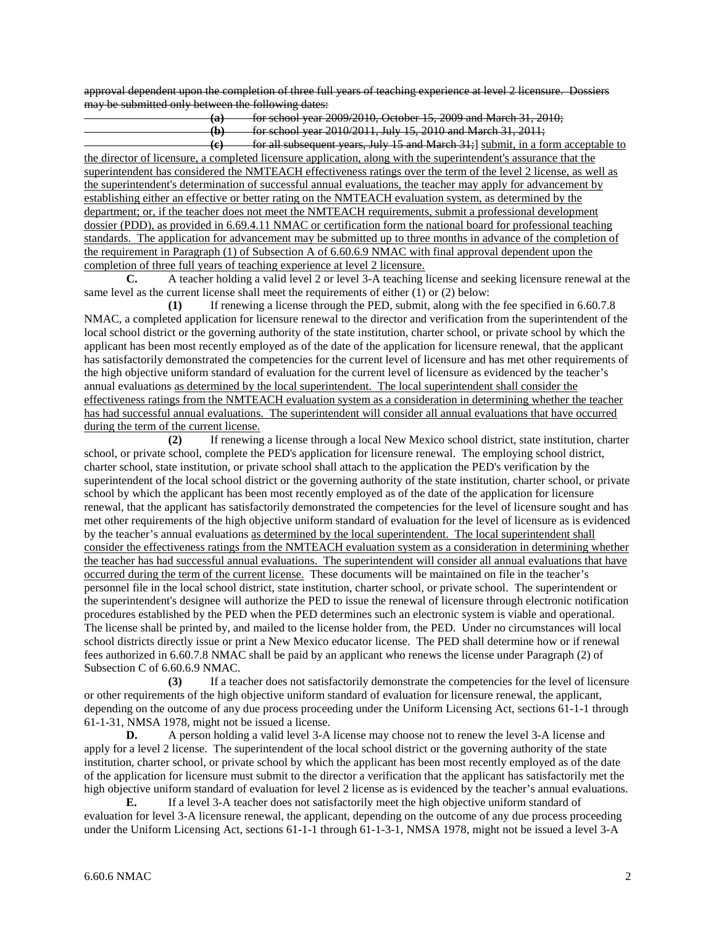approval dependent upon the completion of three full years of teaching experience at level 2 licensure. Dossiers may be submitted only between the following dates:

**(a)** for school year 2009/2010, October 15, 2009 and March 31, 2010; **(b)** for school year 2010/2011, July 15, 2010 and March 31, 2011; **(c)** for all subsequent years, July 15 and March 31;] submit, in a form acceptable to

the director of licensure, a completed licensure application, along with the superintendent's assurance that the superintendent has considered the NMTEACH effectiveness ratings over the term of the level 2 license, as well as the superintendent's determination of successful annual evaluations, the teacher may apply for advancement by establishing either an effective or better rating on the NMTEACH evaluation system, as determined by the department; or, if the teacher does not meet the NMTEACH requirements, submit a professional development dossier (PDD), as provided in 6.69.4.11 NMAC or certification form the national board for professional teaching standards. The application for advancement may be submitted up to three months in advance of the completion of the requirement in Paragraph (1) of Subsection A of 6.60.6.9 NMAC with final approval dependent upon the completion of three full years of teaching experience at level 2 licensure.

**C.** A teacher holding a valid level 2 or level 3-A teaching license and seeking licensure renewal at the same level as the current license shall meet the requirements of either (1) or (2) below:

**(1)** If renewing a license through the PED, submit, along with the fee specified in 6.60.7.8 NMAC, a completed application for licensure renewal to the director and verification from the superintendent of the local school district or the governing authority of the state institution, charter school, or private school by which the applicant has been most recently employed as of the date of the application for licensure renewal, that the applicant has satisfactorily demonstrated the competencies for the current level of licensure and has met other requirements of the high objective uniform standard of evaluation for the current level of licensure as evidenced by the teacher's annual evaluations as determined by the local superintendent. The local superintendent shall consider the effectiveness ratings from the NMTEACH evaluation system as a consideration in determining whether the teacher has had successful annual evaluations. The superintendent will consider all annual evaluations that have occurred during the term of the current license.

**(2)** If renewing a license through a local New Mexico school district, state institution, charter school, or private school, complete the PED's application for licensure renewal. The employing school district, charter school, state institution, or private school shall attach to the application the PED's verification by the superintendent of the local school district or the governing authority of the state institution, charter school, or private school by which the applicant has been most recently employed as of the date of the application for licensure renewal, that the applicant has satisfactorily demonstrated the competencies for the level of licensure sought and has met other requirements of the high objective uniform standard of evaluation for the level of licensure as is evidenced by the teacher's annual evaluations as determined by the local superintendent. The local superintendent shall consider the effectiveness ratings from the NMTEACH evaluation system as a consideration in determining whether the teacher has had successful annual evaluations. The superintendent will consider all annual evaluations that have occurred during the term of the current license. These documents will be maintained on file in the teacher's personnel file in the local school district, state institution, charter school, or private school. The superintendent or the superintendent's designee will authorize the PED to issue the renewal of licensure through electronic notification procedures established by the PED when the PED determines such an electronic system is viable and operational. The license shall be printed by, and mailed to the license holder from, the PED. Under no circumstances will local school districts directly issue or print a New Mexico educator license. The PED shall determine how or if renewal fees authorized in 6.60.7.8 NMAC shall be paid by an applicant who renews the license under Paragraph (2) of Subsection C of 6.60.6.9 NMAC.

**(3)** If a teacher does not satisfactorily demonstrate the competencies for the level of licensure or other requirements of the high objective uniform standard of evaluation for licensure renewal, the applicant, depending on the outcome of any due process proceeding under the Uniform Licensing Act, sections 61-1-1 through 61-1-31, NMSA 1978, might not be issued a license.

**D.** A person holding a valid level 3-A license may choose not to renew the level 3-A license and apply for a level 2 license. The superintendent of the local school district or the governing authority of the state institution, charter school, or private school by which the applicant has been most recently employed as of the date of the application for licensure must submit to the director a verification that the applicant has satisfactorily met the high objective uniform standard of evaluation for level 2 license as is evidenced by the teacher's annual evaluations.

**E.** If a level 3-A teacher does not satisfactorily meet the high objective uniform standard of evaluation for level 3-A licensure renewal, the applicant, depending on the outcome of any due process proceeding under the Uniform Licensing Act, sections 61-1-1 through 61-1-3-1, NMSA 1978, might not be issued a level 3-A